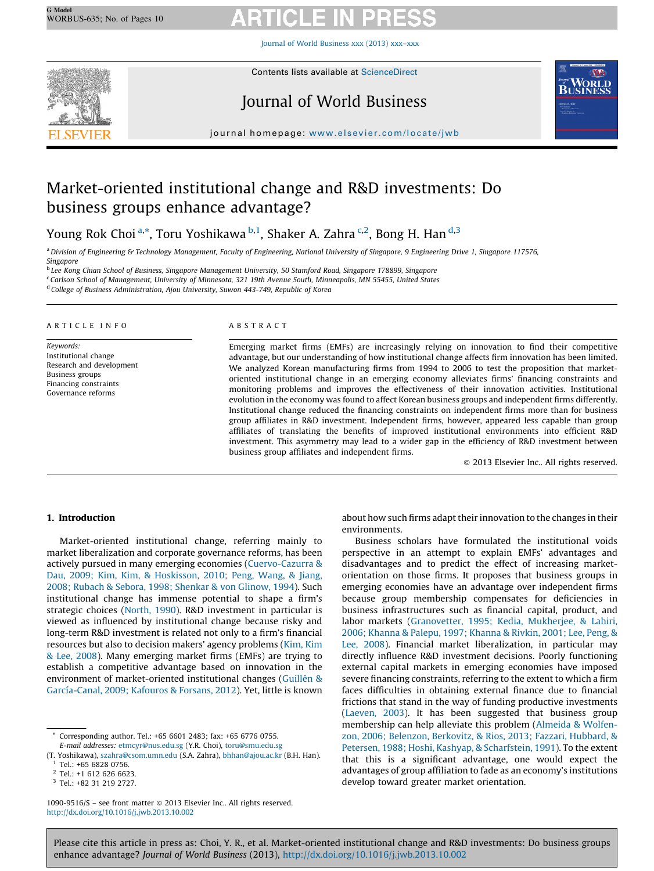Journal of World [Business](http://dx.doi.org/10.1016/j.jwb.2013.10.002) xxx (2013) xxx–xxx



Contents lists available at [ScienceDirect](http://www.sciencedirect.com/science/journal/10909516)

## Journal of World Business



journal homepage: [www.elsevier.com/locate/jwb](http://dx.doi.org/www.elsevier.com/locate/jwb)

## Market-oriented institutional change and R&D investments: Do business groups enhance advantage?

Young Rok Choi<sup>a,\*</sup>, Toru Yoshikawa <sup>b,1</sup>, Shaker A. Zahra <sup>c,2</sup>, Bong H. Han <sup>d,3</sup>

<sup>a</sup> Division of Engineering & Technology Management, Faculty of Engineering, National University of Singapore, 9 Engineering Drive 1, Singapore 117576, Singapore

<sup>b</sup> Lee Kong Chian School of Business, Singapore Management University, 50 Stamford Road, Singapore 178899, Singapore

<sup>c</sup> Carlson School of Management, University of Minnesota, 321 19th Avenue South, Minneapolis, MN 55455, United States

<sup>d</sup> College of Business Administration, Ajou University, Suwon 443-749, Republic of Korea

#### A R T I C L E I N F O

Keywords: Institutional change Research and development Business groups Financing constraints Governance reforms

#### A B S T R A C T

Emerging market firms (EMFs) are increasingly relying on innovation to find their competitive advantage, but our understanding of how institutional change affects firm innovation has been limited. We analyzed Korean manufacturing firms from 1994 to 2006 to test the proposition that marketoriented institutional change in an emerging economy alleviates firms' financing constraints and monitoring problems and improves the effectiveness of their innovation activities. Institutional evolution in the economy was found to affect Korean business groups and independent firms differently. Institutional change reduced the financing constraints on independent firms more than for business group affiliates in R&D investment. Independent firms, however, appeared less capable than group affiliates of translating the benefits of improved institutional environments into efficient R&D investment. This asymmetry may lead to a wider gap in the efficiency of R&D investment between business group affiliates and independent firms.

- 2013 Elsevier Inc.. All rights reserved.

### 1. Introduction

Market-oriented institutional change, referring mainly to market liberalization and corporate governance reforms, has been actively pursued in many emerging economies ([Cuervo-Cazurra](#page--1-0) & Dau, 2009; Kim, Kim, & [Hoskisson,](#page--1-0) 2010; Peng, Wang, & Jiang, 2008; Rubach & Sebora, 1998; [Shenkar](#page--1-0) & von Glinow, 1994). Such institutional change has immense potential to shape a firm's strategic choices [\(North,](#page--1-0) 1990). R&D investment in particular is viewed as influenced by institutional change because risky and long-term R&D investment is related not only to a firm's financial resources but also to decision makers' agency problems ([Kim,](#page--1-0) Kim & Lee, [2008\)](#page--1-0). Many emerging market firms (EMFs) are trying to establish a competitive advantage based on innovation in the environment of market-oriented institutional changes (Guillén & García-Canal, 2009; Kafouros & Forsans, 2012). Yet, little is known

Corresponding author. Tel.: +65 6601 2483; fax: +65 6776 0755. E-mail addresses: [etmcyr@nus.edu.sg](mailto:etmcyr@nus.edu.sg) (Y.R. Choi), [toru@smu.edu.sg](mailto:toru@smu.edu.sg) about how such firms adapt their innovation to the changes in their environments.

Business scholars have formulated the institutional voids perspective in an attempt to explain EMFs' advantages and disadvantages and to predict the effect of increasing marketorientation on those firms. It proposes that business groups in emerging economies have an advantage over independent firms because group membership compensates for deficiencies in business infrastructures such as financial capital, product, and labor markets [\(Granovetter,](#page--1-0) 1995; Kedia, Mukherjee, & Lahiri, 2006; [Khanna](#page--1-0) & Palepu, 1997; Khanna & Rivkin, 2001; Lee, Peng, & Lee, [2008\)](#page--1-0). Financial market liberalization, in particular may directly influence R&D investment decisions. Poorly functioning external capital markets in emerging economies have imposed severe financing constraints, referring to the extent to which a firm faces difficulties in obtaining external finance due to financial frictions that stand in the way of funding productive investments ([Laeven,](#page--1-0) 2003). It has been suggested that business group membership can help alleviate this problem [\(Almeida](#page--1-0) & Wolfenzon, 2006; Belenzon, [Berkovitz,](#page--1-0) & Rios, 2013; Fazzari, Hubbard, & Petersen, 1988; Hoshi, Kashyap, & [Scharfstein,](#page--1-0) 1991). To the extent that this is a significant advantage, one would expect the advantages of group affiliation to fade as an economy's institutions develop toward greater market orientation.

Please cite this article in press as: Choi, Y. R., et al. Market-oriented institutional change and R&D investments: Do business groups enhance advantage? Journal of World Business (2013), <http://dx.doi.org/10.1016/j.jwb.2013.10.002>

<sup>(</sup>T. Yoshikawa), [szahra@csom.umn.edu](mailto:szahra@csom.umn.edu) (S.A. Zahra), [bhhan@ajou.ac.kr](mailto:bhhan@ajou.ac.kr) (B.H. Han). <sup>1</sup> Tel.: +65 6828 0756.

<sup>2</sup> Tel.: +1 612 626 6623.

<sup>3</sup> Tel.: +82 31 219 2727.

<sup>1090-9516/\$ -</sup> see front matter @ 2013 Elsevier Inc.. All rights reserved. <http://dx.doi.org/10.1016/j.jwb.2013.10.002>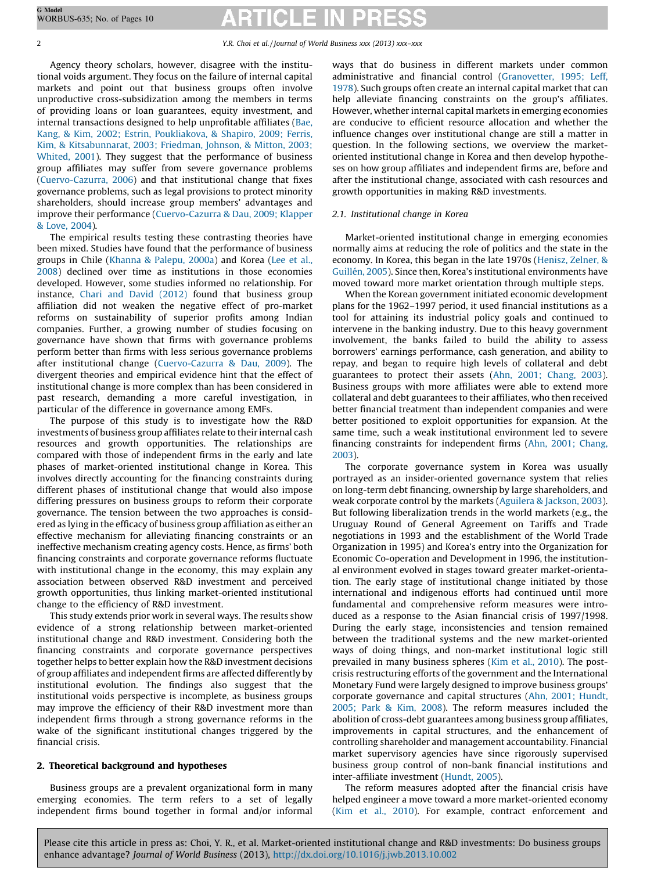Agency theory scholars, however, disagree with the institutional voids argument. They focus on the failure of internal capital markets and point out that business groups often involve unproductive cross-subsidization among the members in terms of providing loans or loan guarantees, equity investment, and internal transactions designed to help unprofitable affiliates [\(Bae,](#page--1-0) Kang, & Kim, 2002; Estrin, [Poukliakova,](#page--1-0) & Shapiro, 2009; Ferris, Kim, & [Kitsabunnarat,](#page--1-0) 2003; Friedman, Johnson, & Mitton, 2003; [Whited,](#page--1-0) 2001). They suggest that the performance of business group affiliates may suffer from severe governance problems ([Cuervo-Cazurra,](#page--1-0) 2006) and that institutional change that fixes governance problems, such as legal provisions to protect minority shareholders, should increase group members' advantages and improve their performance ([Cuervo-Cazurra](#page--1-0) & Dau, 2009; Klapper & [Love,](#page--1-0) 2004).

The empirical results testing these contrasting theories have been mixed. Studies have found that the performance of business groups in Chile ([Khanna](#page--1-0) & Palepu, 2000a) and Korea [\(Lee](#page--1-0) et al., [2008\)](#page--1-0) declined over time as institutions in those economies developed. However, some studies informed no relationship. For instance, Chari and David [\(2012\)](#page--1-0) found that business group affiliation did not weaken the negative effect of pro-market reforms on sustainability of superior profits among Indian companies. Further, a growing number of studies focusing on governance have shown that firms with governance problems perform better than firms with less serious governance problems after institutional change ([Cuervo-Cazurra](#page--1-0) & Dau, 2009). The divergent theories and empirical evidence hint that the effect of institutional change is more complex than has been considered in past research, demanding a more careful investigation, in particular of the difference in governance among EMFs.

The purpose of this study is to investigate how the R&D investments of business group affiliates relate to their internal cash resources and growth opportunities. The relationships are compared with those of independent firms in the early and late phases of market-oriented institutional change in Korea. This involves directly accounting for the financing constraints during different phases of institutional change that would also impose differing pressures on business groups to reform their corporate governance. The tension between the two approaches is considered as lying in the efficacy of business group affiliation as either an effective mechanism for alleviating financing constraints or an ineffective mechanism creating agency costs. Hence, as firms' both financing constraints and corporate governance reforms fluctuate with institutional change in the economy, this may explain any association between observed R&D investment and perceived growth opportunities, thus linking market-oriented institutional change to the efficiency of R&D investment.

This study extends prior work in several ways. The results show evidence of a strong relationship between market-oriented institutional change and R&D investment. Considering both the financing constraints and corporate governance perspectives together helps to better explain how the R&D investment decisions of group affiliates and independent firms are affected differently by institutional evolution. The findings also suggest that the institutional voids perspective is incomplete, as business groups may improve the efficiency of their R&D investment more than independent firms through a strong governance reforms in the wake of the significant institutional changes triggered by the financial crisis.

## 2. Theoretical background and hypotheses

Business groups are a prevalent organizational form in many emerging economies. The term refers to a set of legally independent firms bound together in formal and/or informal ways that do business in different markets under common administrative and financial control [\(Granovetter,](#page--1-0) 1995; Leff, [1978](#page--1-0)). Such groups often create an internal capital market that can help alleviate financing constraints on the group's affiliates. However, whether internal capital markets in emerging economies are conducive to efficient resource allocation and whether the influence changes over institutional change are still a matter in question. In the following sections, we overview the marketoriented institutional change in Korea and then develop hypotheses on how group affiliates and independent firms are, before and after the institutional change, associated with cash resources and growth opportunities in making R&D investments.

### 2.1. Institutional change in Korea

Market-oriented institutional change in emerging economies normally aims at reducing the role of politics and the state in the economy. In Korea, this began in the late 1970s [\(Henisz,](#page--1-0) Zelner, & Guillén, 2005). Since then, Korea's institutional environments have moved toward more market orientation through multiple steps.

When the Korean government initiated economic development plans for the 1962–1997 period, it used financial institutions as a tool for attaining its industrial policy goals and continued to intervene in the banking industry. Due to this heavy government involvement, the banks failed to build the ability to assess borrowers' earnings performance, cash generation, and ability to repay, and began to require high levels of collateral and debt guarantees to protect their assets (Ahn, 2001; [Chang,](#page--1-0) 2003). Business groups with more affiliates were able to extend more collateral and debt guarantees to their affiliates, who then received better financial treatment than independent companies and were better positioned to exploit opportunities for expansion. At the same time, such a weak institutional environment led to severe financing constraints for independent firms (Ahn, 2001; [Chang,](#page--1-0) [2003\)](#page--1-0).

The corporate governance system in Korea was usually portrayed as an insider-oriented governance system that relies on long-term debt financing, ownership by large shareholders, and weak corporate control by the markets [\(Aguilera](#page--1-0) & Jackson, 2003). But following liberalization trends in the world markets (e.g., the Uruguay Round of General Agreement on Tariffs and Trade negotiations in 1993 and the establishment of the World Trade Organization in 1995) and Korea's entry into the Organization for Economic Co-operation and Development in 1996, the institutional environment evolved in stages toward greater market-orientation. The early stage of institutional change initiated by those international and indigenous efforts had continued until more fundamental and comprehensive reform measures were introduced as a response to the Asian financial crisis of 1997/1998. During the early stage, inconsistencies and tension remained between the traditional systems and the new market-oriented ways of doing things, and non-market institutional logic still prevailed in many business spheres (Kim et al., [2010](#page--1-0)). The postcrisis restructuring efforts of the government and the International Monetary Fund were largely designed to improve business groups' corporate governance and capital structures (Ahn, 2001; [Hundt,](#page--1-0) [2005;](#page--1-0) Park & Kim, 2008). The reform measures included the abolition of cross-debt guarantees among business group affiliates, improvements in capital structures, and the enhancement of controlling shareholder and management accountability. Financial market supervisory agencies have since rigorously supervised business group control of non-bank financial institutions and inter-affiliate investment [\(Hundt,](#page--1-0) 2005).

The reform measures adopted after the financial crisis have helped engineer a move toward a more market-oriented economy (Kim et al., [2010](#page--1-0)). For example, contract enforcement and

Please cite this article in press as: Choi, Y. R., et al. Market-oriented institutional change and R&D investments: Do business groups enhance advantage? Journal of World Business (2013), <http://dx.doi.org/10.1016/j.jwb.2013.10.002>